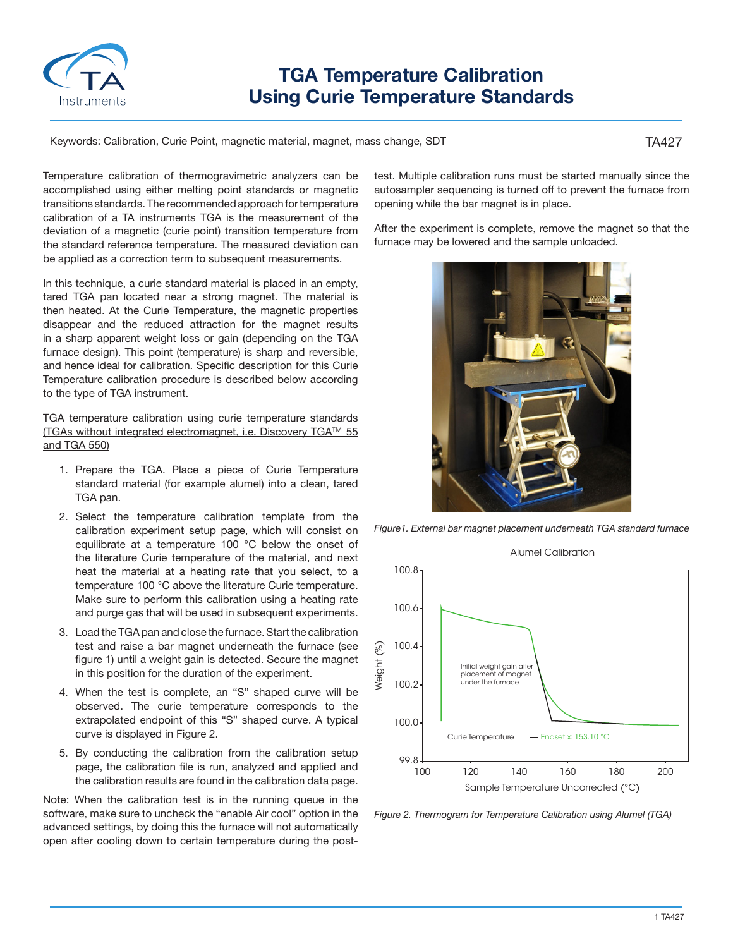

## **TGA Temperature Calibration Using Curie Temperature Standards**

Keywords: Calibration, Curie Point, magnetic material, magnet, mass change, SDT

TA427

Temperature calibration of thermogravimetric analyzers can be accomplished using either melting point standards or magnetic transitions standards. The recommended approach for temperature calibration of a TA instruments TGA is the measurement of the deviation of a magnetic (curie point) transition temperature from the standard reference temperature. The measured deviation can be applied as a correction term to subsequent measurements.

In this technique, a curie standard material is placed in an empty, tared TGA pan located near a strong magnet. The material is then heated. At the Curie Temperature, the magnetic properties disappear and the reduced attraction for the magnet results in a sharp apparent weight loss or gain (depending on the TGA furnace design). This point (temperature) is sharp and reversible, and hence ideal for calibration. Specific description for this Curie Temperature calibration procedure is described below according to the type of TGA instrument.

TGA temperature calibration using curie temperature standards (TGAs without integrated electromagnet, i.e. Discovery TGA™ 55 and TGA 550)

- 1. Prepare the TGA. Place a piece of Curie Temperature standard material (for example alumel) into a clean, tared TGA pan.
- 2. Select the temperature calibration template from the calibration experiment setup page, which will consist on equilibrate at a temperature 100 °C below the onset of the literature Curie temperature of the material, and next heat the material at a heating rate that you select, to a temperature 100 °C above the literature Curie temperature. Make sure to perform this calibration using a heating rate and purge gas that will be used in subsequent experiments.
- 3. Load the TGA pan and close the furnace. Start the calibration test and raise a bar magnet underneath the furnace (see figure 1) until a weight gain is detected. Secure the magnet in this position for the duration of the experiment.
- 4. When the test is complete, an "S" shaped curve will be observed. The curie temperature corresponds to the extrapolated endpoint of this "S" shaped curve. A typical curve is displayed in Figure 2.
- 5. By conducting the calibration from the calibration setup page, the calibration file is run, analyzed and applied and the calibration results are found in the calibration data page.

Note: When the calibration test is in the running queue in the software, make sure to uncheck the "enable Air cool" option in the advanced settings, by doing this the furnace will not automatically open after cooling down to certain temperature during the posttest. Multiple calibration runs must be started manually since the autosampler sequencing is turned off to prevent the furnace from opening while the bar magnet is in place.

After the experiment is complete, remove the magnet so that the furnace may be lowered and the sample unloaded.



*Figure1. External bar magnet placement underneath TGA standard furnace*



*Figure 2. Thermogram for Temperature Calibration using Alumel (TGA)*